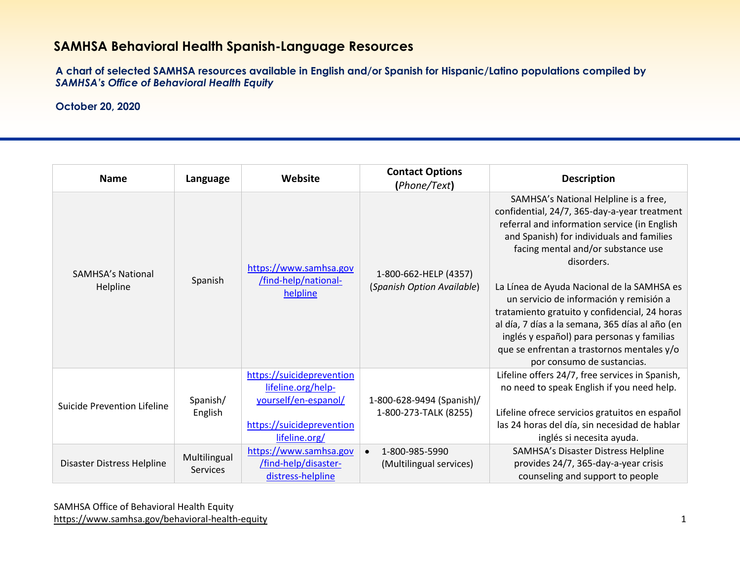## **SAMHSA Behavioral Health Spanish-Language Resources**

**A chart of selected SAMHSA resources available in English and/or Spanish for Hispanic/Latino populations compiled by** *SAMHSA's Office of Behavioral Health Equity*

**October 20, 2020**

| <b>Name</b>                          | Language                        | Website                                                                                                               | <b>Contact Options</b><br>(Phone/Text)                 | <b>Description</b>                                                                                                                                                                                                                                                                                                                                                                                                                                                                                                                                            |
|--------------------------------------|---------------------------------|-----------------------------------------------------------------------------------------------------------------------|--------------------------------------------------------|---------------------------------------------------------------------------------------------------------------------------------------------------------------------------------------------------------------------------------------------------------------------------------------------------------------------------------------------------------------------------------------------------------------------------------------------------------------------------------------------------------------------------------------------------------------|
| <b>SAMHSA's National</b><br>Helpline | Spanish                         | https://www.samhsa.gov<br>/find-help/national-<br>helpline                                                            | 1-800-662-HELP (4357)<br>(Spanish Option Available)    | SAMHSA's National Helpline is a free,<br>confidential, 24/7, 365-day-a-year treatment<br>referral and information service (in English<br>and Spanish) for individuals and families<br>facing mental and/or substance use<br>disorders.<br>La Línea de Ayuda Nacional de la SAMHSA es<br>un servicio de información y remisión a<br>tratamiento gratuito y confidencial, 24 horas<br>al día, 7 días a la semana, 365 días al año (en<br>inglés y español) para personas y familias<br>que se enfrentan a trastornos mentales y/o<br>por consumo de sustancias. |
| Suicide Prevention Lifeline          | Spanish/<br>English             | https://suicideprevention<br>lifeline.org/help-<br>yourself/en-espanol/<br>https://suicideprevention<br>lifeline.org/ | 1-800-628-9494 (Spanish)/<br>1-800-273-TALK (8255)     | Lifeline offers 24/7, free services in Spanish,<br>no need to speak English if you need help.<br>Lifeline ofrece servicios gratuitos en español<br>las 24 horas del día, sin necesidad de hablar<br>inglés si necesita ayuda.                                                                                                                                                                                                                                                                                                                                 |
| Disaster Distress Helpline           | Multilingual<br><b>Services</b> | https://www.samhsa.gov<br>/find-help/disaster-<br>distress-helpline                                                   | 1-800-985-5990<br>$\bullet$<br>(Multilingual services) | SAMHSA's Disaster Distress Helpline<br>provides 24/7, 365-day-a-year crisis<br>counseling and support to people                                                                                                                                                                                                                                                                                                                                                                                                                                               |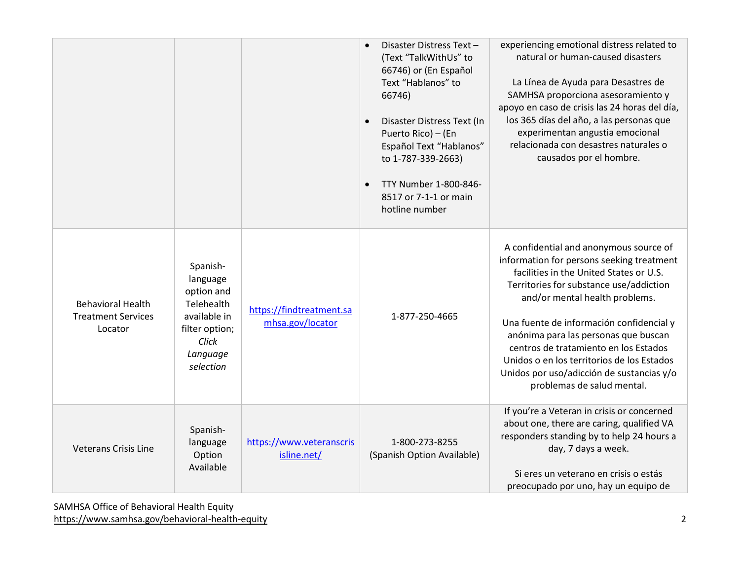|                                                                  |                                                                                                                      |                                              | Disaster Distress Text-<br>(Text "TalkWithUs" to<br>66746) or (En Español<br>Text "Hablanos" to<br>66746)<br>Disaster Distress Text (In<br>Puerto Rico) - (En<br>Español Text "Hablanos"<br>to 1-787-339-2663)<br>TTY Number 1-800-846-<br>8517 or 7-1-1 or main<br>hotline number | experiencing emotional distress related to<br>natural or human-caused disasters<br>La Línea de Ayuda para Desastres de<br>SAMHSA proporciona asesoramiento y<br>apoyo en caso de crisis las 24 horas del día,<br>los 365 días del año, a las personas que<br>experimentan angustia emocional<br>relacionada con desastres naturales o<br>causados por el hombre.                                                                                                  |
|------------------------------------------------------------------|----------------------------------------------------------------------------------------------------------------------|----------------------------------------------|------------------------------------------------------------------------------------------------------------------------------------------------------------------------------------------------------------------------------------------------------------------------------------|-------------------------------------------------------------------------------------------------------------------------------------------------------------------------------------------------------------------------------------------------------------------------------------------------------------------------------------------------------------------------------------------------------------------------------------------------------------------|
| <b>Behavioral Health</b><br><b>Treatment Services</b><br>Locator | Spanish-<br>language<br>option and<br>Telehealth<br>available in<br>filter option;<br>Click<br>Language<br>selection | https://findtreatment.sa<br>mhsa.gov/locator | 1-877-250-4665                                                                                                                                                                                                                                                                     | A confidential and anonymous source of<br>information for persons seeking treatment<br>facilities in the United States or U.S.<br>Territories for substance use/addiction<br>and/or mental health problems.<br>Una fuente de información confidencial y<br>anónima para las personas que buscan<br>centros de tratamiento en los Estados<br>Unidos o en los territorios de los Estados<br>Unidos por uso/adicción de sustancias y/o<br>problemas de salud mental. |
| <b>Veterans Crisis Line</b>                                      | Spanish-<br>language<br>Option<br>Available                                                                          | https://www.veteranscris<br>isline.net/      | 1-800-273-8255<br>(Spanish Option Available)                                                                                                                                                                                                                                       | If you're a Veteran in crisis or concerned<br>about one, there are caring, qualified VA<br>responders standing by to help 24 hours a<br>day, 7 days a week.<br>Si eres un veterano en crisis o estás<br>preocupado por uno, hay un equipo de                                                                                                                                                                                                                      |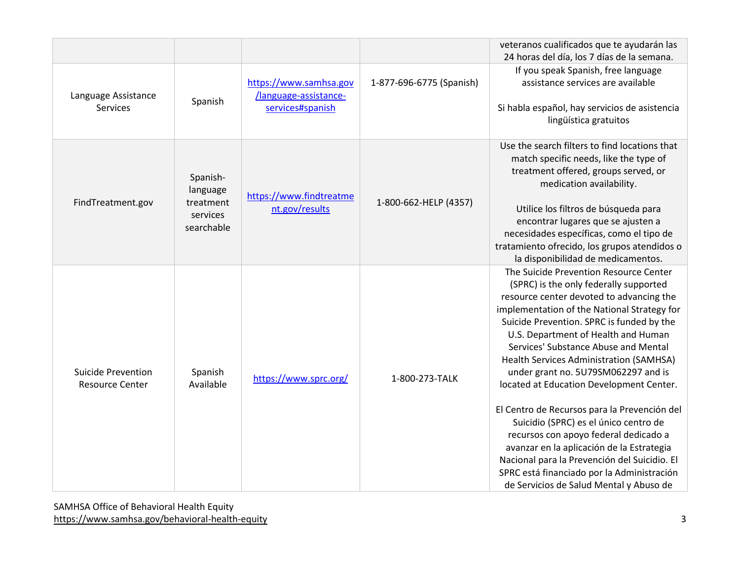|                                                     |                                                             |                                                                     |                          | veteranos cualificados que te ayudarán las<br>24 horas del día, los 7 días de la semana.                                                                                                                                                                                                                                                                                                                                                                                                                                                                                                                                                                                                                                                                             |
|-----------------------------------------------------|-------------------------------------------------------------|---------------------------------------------------------------------|--------------------------|----------------------------------------------------------------------------------------------------------------------------------------------------------------------------------------------------------------------------------------------------------------------------------------------------------------------------------------------------------------------------------------------------------------------------------------------------------------------------------------------------------------------------------------------------------------------------------------------------------------------------------------------------------------------------------------------------------------------------------------------------------------------|
| Language Assistance<br>Services                     | Spanish                                                     | https://www.samhsa.gov<br>/language-assistance-<br>services#spanish | 1-877-696-6775 (Spanish) | If you speak Spanish, free language<br>assistance services are available<br>Si habla español, hay servicios de asistencia<br>lingüística gratuitos                                                                                                                                                                                                                                                                                                                                                                                                                                                                                                                                                                                                                   |
| FindTreatment.gov                                   | Spanish-<br>language<br>treatment<br>services<br>searchable | https://www.findtreatme<br>nt.gov/results                           | 1-800-662-HELP (4357)    | Use the search filters to find locations that<br>match specific needs, like the type of<br>treatment offered, groups served, or<br>medication availability.<br>Utilice los filtros de búsqueda para<br>encontrar lugares que se ajusten a<br>necesidades específicas, como el tipo de<br>tratamiento ofrecido, los grupos atendidos o<br>la disponibilidad de medicamentos.                                                                                                                                                                                                                                                                                                                                                                                          |
| <b>Suicide Prevention</b><br><b>Resource Center</b> | Spanish<br>Available                                        | https://www.sprc.org/                                               | 1-800-273-TALK           | The Suicide Prevention Resource Center<br>(SPRC) is the only federally supported<br>resource center devoted to advancing the<br>implementation of the National Strategy for<br>Suicide Prevention. SPRC is funded by the<br>U.S. Department of Health and Human<br>Services' Substance Abuse and Mental<br><b>Health Services Administration (SAMHSA)</b><br>under grant no. 5U79SM062297 and is<br>located at Education Development Center.<br>El Centro de Recursos para la Prevención del<br>Suicidio (SPRC) es el único centro de<br>recursos con apoyo federal dedicado a<br>avanzar en la aplicación de la Estrategia<br>Nacional para la Prevención del Suicidio. El<br>SPRC está financiado por la Administración<br>de Servicios de Salud Mental y Abuso de |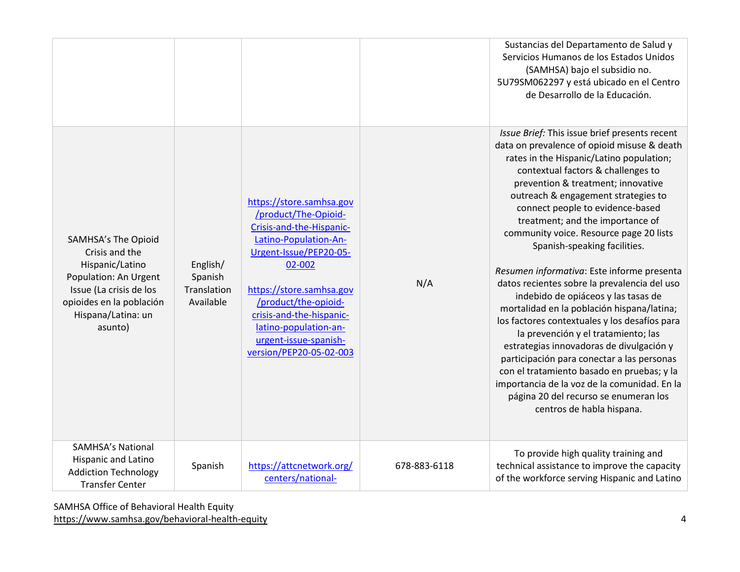|                                                                                                                                                                                  |                                                 |                                                                                                                                                                                                                                                                                                        |              | Sustancias del Departamento de Salud y<br>Servicios Humanos de los Estados Unidos<br>(SAMHSA) bajo el subsidio no.<br>5U79SM062297 y está ubicado en el Centro<br>de Desarrollo de la Educación.                                                                                                                                                                                                                                                                                                                                                                                                                                                                                                                                                                                                                                                                                                                                                        |
|----------------------------------------------------------------------------------------------------------------------------------------------------------------------------------|-------------------------------------------------|--------------------------------------------------------------------------------------------------------------------------------------------------------------------------------------------------------------------------------------------------------------------------------------------------------|--------------|---------------------------------------------------------------------------------------------------------------------------------------------------------------------------------------------------------------------------------------------------------------------------------------------------------------------------------------------------------------------------------------------------------------------------------------------------------------------------------------------------------------------------------------------------------------------------------------------------------------------------------------------------------------------------------------------------------------------------------------------------------------------------------------------------------------------------------------------------------------------------------------------------------------------------------------------------------|
| <b>SAMHSA's The Opioid</b><br>Crisis and the<br>Hispanic/Latino<br>Population: An Urgent<br>Issue (La crisis de los<br>opioides en la población<br>Hispana/Latina: un<br>asunto) | English/<br>Spanish<br>Translation<br>Available | https://store.samhsa.gov<br>/product/The-Opioid-<br>Crisis-and-the-Hispanic-<br>Latino-Population-An-<br>Urgent-Issue/PEP20-05-<br>02-002<br>https://store.samhsa.gov<br>/product/the-opioid-<br>crisis-and-the-hispanic-<br>latino-population-an-<br>urgent-issue-spanish-<br>version/PEP20-05-02-003 | N/A          | Issue Brief: This issue brief presents recent<br>data on prevalence of opioid misuse & death<br>rates in the Hispanic/Latino population;<br>contextual factors & challenges to<br>prevention & treatment; innovative<br>outreach & engagement strategies to<br>connect people to evidence-based<br>treatment; and the importance of<br>community voice. Resource page 20 lists<br>Spanish-speaking facilities.<br>Resumen informativa: Este informe presenta<br>datos recientes sobre la prevalencia del uso<br>indebido de opiáceos y las tasas de<br>mortalidad en la población hispana/latina;<br>los factores contextuales y los desafíos para<br>la prevención y el tratamiento; las<br>estrategias innovadoras de divulgación y<br>participación para conectar a las personas<br>con el tratamiento basado en pruebas; y la<br>importancia de la voz de la comunidad. En la<br>página 20 del recurso se enumeran los<br>centros de habla hispana. |
| <b>SAMHSA's National</b><br>Hispanic and Latino<br><b>Addiction Technology</b><br><b>Transfer Center</b>                                                                         | Spanish                                         | https://attcnetwork.org/<br>centers/national-                                                                                                                                                                                                                                                          | 678-883-6118 | To provide high quality training and<br>technical assistance to improve the capacity<br>of the workforce serving Hispanic and Latino                                                                                                                                                                                                                                                                                                                                                                                                                                                                                                                                                                                                                                                                                                                                                                                                                    |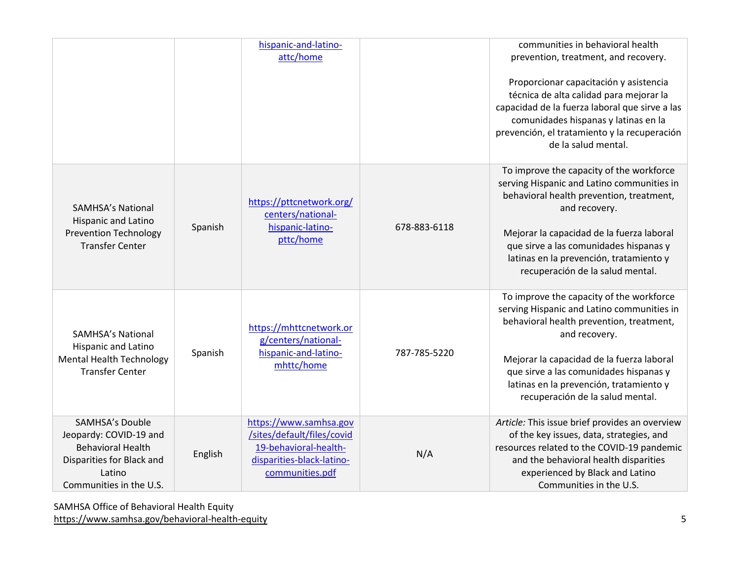|                                                                                                                                                |         | hispanic-and-latino-<br>attc/home                                                                                             |              | communities in behavioral health<br>prevention, treatment, and recovery.                                                                                                                                                                                                                                                  |
|------------------------------------------------------------------------------------------------------------------------------------------------|---------|-------------------------------------------------------------------------------------------------------------------------------|--------------|---------------------------------------------------------------------------------------------------------------------------------------------------------------------------------------------------------------------------------------------------------------------------------------------------------------------------|
|                                                                                                                                                |         |                                                                                                                               |              | Proporcionar capacitación y asistencia<br>técnica de alta calidad para mejorar la<br>capacidad de la fuerza laboral que sirve a las<br>comunidades hispanas y latinas en la<br>prevención, el tratamiento y la recuperación<br>de la salud mental.                                                                        |
| <b>SAMHSA's National</b><br>Hispanic and Latino<br><b>Prevention Technology</b><br><b>Transfer Center</b>                                      | Spanish | https://pttcnetwork.org/<br>centers/national-<br>hispanic-latino-<br>pttc/home                                                | 678-883-6118 | To improve the capacity of the workforce<br>serving Hispanic and Latino communities in<br>behavioral health prevention, treatment,<br>and recovery.<br>Mejorar la capacidad de la fuerza laboral<br>que sirve a las comunidades hispanas y<br>latinas en la prevención, tratamiento y<br>recuperación de la salud mental. |
| <b>SAMHSA's National</b><br>Hispanic and Latino<br><b>Mental Health Technology</b><br><b>Transfer Center</b>                                   | Spanish | https://mhttcnetwork.or<br>g/centers/national-<br>hispanic-and-latino-<br>mhttc/home                                          | 787-785-5220 | To improve the capacity of the workforce<br>serving Hispanic and Latino communities in<br>behavioral health prevention, treatment,<br>and recovery.<br>Mejorar la capacidad de la fuerza laboral<br>que sirve a las comunidades hispanas y<br>latinas en la prevención, tratamiento y<br>recuperación de la salud mental. |
| <b>SAMHSA's Double</b><br>Jeopardy: COVID-19 and<br><b>Behavioral Health</b><br>Disparities for Black and<br>Latino<br>Communities in the U.S. | English | https://www.samhsa.gov<br>/sites/default/files/covid<br>19-behavioral-health-<br>disparities-black-latino-<br>communities.pdf | N/A          | Article: This issue brief provides an overview<br>of the key issues, data, strategies, and<br>resources related to the COVID-19 pandemic<br>and the behavioral health disparities<br>experienced by Black and Latino<br>Communities in the U.S.                                                                           |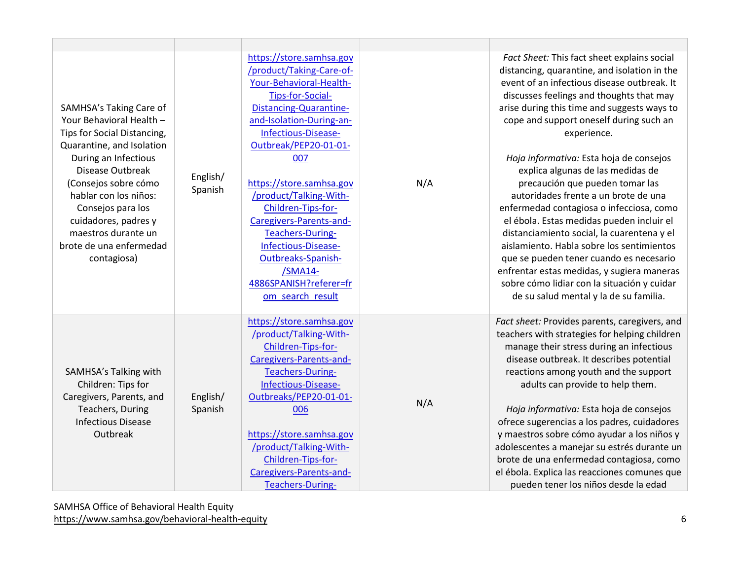| SAMHSA's Taking Care of<br>Your Behavioral Health -<br>Tips for Social Distancing,<br>Quarantine, and Isolation<br>During an Infectious<br>Disease Outbreak<br>(Consejos sobre cómo<br>hablar con los niños:<br>Consejos para los<br>cuidadores, padres y<br>maestros durante un<br>brote de una enfermedad<br>contagiosa) | English/<br>Spanish | https://store.samhsa.gov<br>/product/Taking-Care-of-<br>Your-Behavioral-Health-<br>Tips-for-Social-<br>Distancing-Quarantine-<br>and-Isolation-During-an-<br>Infectious-Disease-<br>Outbreak/PEP20-01-01-<br>007<br>https://store.samhsa.gov<br>/product/Talking-With-<br>Children-Tips-for-<br>Caregivers-Parents-and-<br>Teachers-During-<br>Infectious-Disease-<br>Outbreaks-Spanish-<br>/SMA14-<br>4886SPANISH?referer=fr<br>om search result | N/A | Fact Sheet: This fact sheet explains social<br>distancing, quarantine, and isolation in the<br>event of an infectious disease outbreak. It<br>discusses feelings and thoughts that may<br>arise during this time and suggests ways to<br>cope and support oneself during such an<br>experience.<br>Hoja informativa: Esta hoja de consejos<br>explica algunas de las medidas de<br>precaución que pueden tomar las<br>autoridades frente a un brote de una<br>enfermedad contagiosa o infecciosa, como<br>el ébola. Estas medidas pueden incluir el<br>distanciamiento social, la cuarentena y el<br>aislamiento. Habla sobre los sentimientos<br>que se pueden tener cuando es necesario<br>enfrentar estas medidas, y sugiera maneras<br>sobre cómo lidiar con la situación y cuidar<br>de su salud mental y la de su familia. |
|----------------------------------------------------------------------------------------------------------------------------------------------------------------------------------------------------------------------------------------------------------------------------------------------------------------------------|---------------------|---------------------------------------------------------------------------------------------------------------------------------------------------------------------------------------------------------------------------------------------------------------------------------------------------------------------------------------------------------------------------------------------------------------------------------------------------|-----|----------------------------------------------------------------------------------------------------------------------------------------------------------------------------------------------------------------------------------------------------------------------------------------------------------------------------------------------------------------------------------------------------------------------------------------------------------------------------------------------------------------------------------------------------------------------------------------------------------------------------------------------------------------------------------------------------------------------------------------------------------------------------------------------------------------------------------|
| SAMHSA's Talking with<br>Children: Tips for<br>Caregivers, Parents, and<br>Teachers, During<br><b>Infectious Disease</b><br>Outbreak                                                                                                                                                                                       | English/<br>Spanish | https://store.samhsa.gov<br>/product/Talking-With-<br>Children-Tips-for-<br>Caregivers-Parents-and-<br>Teachers-During-<br>Infectious-Disease-<br>Outbreaks/PEP20-01-01-<br>006<br>https://store.samhsa.gov<br>/product/Talking-With-<br>Children-Tips-for-<br>Caregivers-Parents-and-<br><b>Teachers-During-</b>                                                                                                                                 | N/A | Fact sheet: Provides parents, caregivers, and<br>teachers with strategies for helping children<br>manage their stress during an infectious<br>disease outbreak. It describes potential<br>reactions among youth and the support<br>adults can provide to help them.<br>Hoja informativa: Esta hoja de consejos<br>ofrece sugerencias a los padres, cuidadores<br>y maestros sobre cómo ayudar a los niños y<br>adolescentes a manejar su estrés durante un<br>brote de una enfermedad contagiosa, como<br>el ébola. Explica las reacciones comunes que<br>pueden tener los niños desde la edad                                                                                                                                                                                                                                   |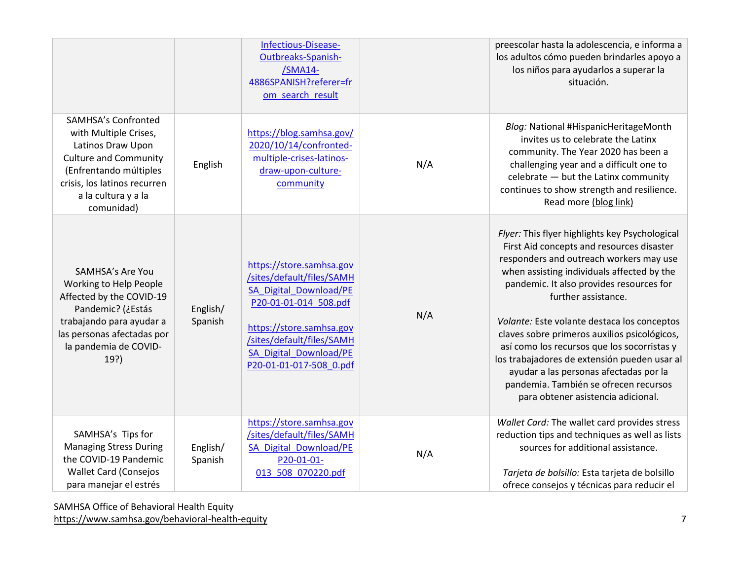|                                                                                                                                                                                                         |                     | Infectious-Disease-<br>Outbreaks-Spanish-<br>/SMA14-<br>4886SPANISH?referer=fr<br>om search result                                                                                                                     |     | preescolar hasta la adolescencia, e informa a<br>los adultos cómo pueden brindarles apoyo a<br>los niños para ayudarlos a superar la<br>situación.                                                                                                                                                                                                                                                                                                                                                                                                                             |
|---------------------------------------------------------------------------------------------------------------------------------------------------------------------------------------------------------|---------------------|------------------------------------------------------------------------------------------------------------------------------------------------------------------------------------------------------------------------|-----|--------------------------------------------------------------------------------------------------------------------------------------------------------------------------------------------------------------------------------------------------------------------------------------------------------------------------------------------------------------------------------------------------------------------------------------------------------------------------------------------------------------------------------------------------------------------------------|
| <b>SAMHSA's Confronted</b><br>with Multiple Crises,<br>Latinos Draw Upon<br><b>Culture and Community</b><br>(Enfrentando múltiples<br>crisis, los latinos recurren<br>a la cultura y a la<br>comunidad) | English             | https://blog.samhsa.gov/<br>2020/10/14/confronted-<br>multiple-crises-latinos-<br>draw-upon-culture-<br>community                                                                                                      | N/A | Blog: National #HispanicHeritageMonth<br>invites us to celebrate the Latinx<br>community. The Year 2020 has been a<br>challenging year and a difficult one to<br>celebrate - but the Latinx community<br>continues to show strength and resilience.<br>Read more (blog link)                                                                                                                                                                                                                                                                                                   |
| SAMHSA's Are You<br>Working to Help People<br>Affected by the COVID-19<br>Pandemic? (¿Estás<br>trabajando para ayudar a<br>las personas afectadas por<br>la pandemia de COVID-<br>19?)                  | English/<br>Spanish | https://store.samhsa.gov<br>/sites/default/files/SAMH<br>SA Digital Download/PE<br>P20-01-01-014 508.pdf<br>https://store.samhsa.gov<br>/sites/default/files/SAMH<br>SA Digital Download/PE<br>P20-01-01-017-508 0.pdf | N/A | Flyer: This flyer highlights key Psychological<br>First Aid concepts and resources disaster<br>responders and outreach workers may use<br>when assisting individuals affected by the<br>pandemic. It also provides resources for<br>further assistance.<br>Volante: Este volante destaca los conceptos<br>claves sobre primeros auxilios psicológicos,<br>así como los recursos que los socorristas y<br>los trabajadores de extensión pueden usar al<br>ayudar a las personas afectadas por la<br>pandemia. También se ofrecen recursos<br>para obtener asistencia adicional. |
| SAMHSA's Tips for<br><b>Managing Stress During</b><br>the COVID-19 Pandemic<br><b>Wallet Card (Consejos</b><br>para manejar el estrés                                                                   | English/<br>Spanish | https://store.samhsa.gov<br>/sites/default/files/SAMH<br>SA Digital Download/PE<br>P20-01-01-<br>013_508_070220.pdf                                                                                                    | N/A | Wallet Card: The wallet card provides stress<br>reduction tips and techniques as well as lists<br>sources for additional assistance.<br>Tarjeta de bolsillo: Esta tarjeta de bolsillo<br>ofrece consejos y técnicas para reducir el                                                                                                                                                                                                                                                                                                                                            |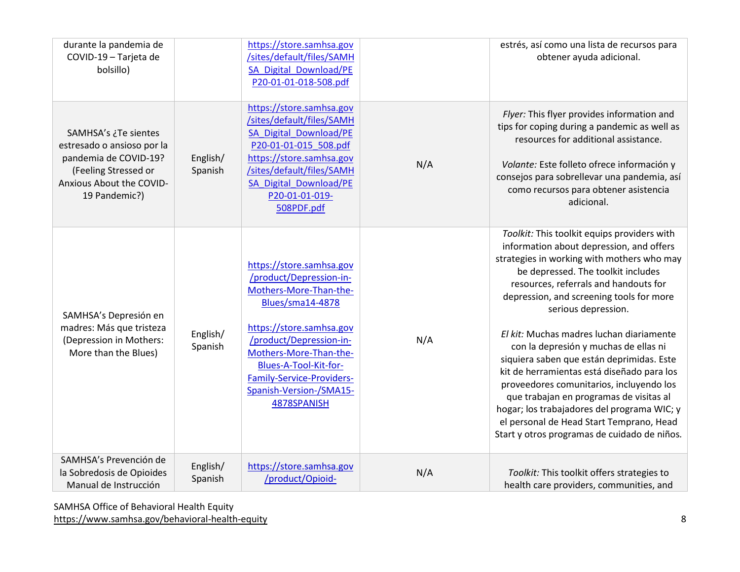| durante la pandemia de<br>COVID-19 - Tarjeta de<br>bolsillo)                                                                                     |                     | https://store.samhsa.gov<br>/sites/default/files/SAMH<br>SA Digital Download/PE<br>P20-01-01-018-508.pdf                                                                                                                                                                           |     | estrés, así como una lista de recursos para<br>obtener ayuda adicional.                                                                                                                                                                                                                                                                                                                                                                                                                                                                                                                                                                                                                                   |
|--------------------------------------------------------------------------------------------------------------------------------------------------|---------------------|------------------------------------------------------------------------------------------------------------------------------------------------------------------------------------------------------------------------------------------------------------------------------------|-----|-----------------------------------------------------------------------------------------------------------------------------------------------------------------------------------------------------------------------------------------------------------------------------------------------------------------------------------------------------------------------------------------------------------------------------------------------------------------------------------------------------------------------------------------------------------------------------------------------------------------------------------------------------------------------------------------------------------|
| SAMHSA's ¿Te sientes<br>estresado o ansioso por la<br>pandemia de COVID-19?<br>(Feeling Stressed or<br>Anxious About the COVID-<br>19 Pandemic?) | English/<br>Spanish | https://store.samhsa.gov<br>/sites/default/files/SAMH<br>SA Digital Download/PE<br>P20-01-01-015 508.pdf<br>https://store.samhsa.gov<br>/sites/default/files/SAMH<br>SA Digital Download/PE<br>P20-01-01-019-<br>508PDF.pdf                                                        | N/A | Flyer: This flyer provides information and<br>tips for coping during a pandemic as well as<br>resources for additional assistance.<br>Volante: Este folleto ofrece información y<br>consejos para sobrellevar una pandemia, así<br>como recursos para obtener asistencia<br>adicional.                                                                                                                                                                                                                                                                                                                                                                                                                    |
| SAMHSA's Depresión en<br>madres: Más que tristeza<br>(Depression in Mothers:<br>More than the Blues)                                             | English/<br>Spanish | https://store.samhsa.gov<br>/product/Depression-in-<br>Mothers-More-Than-the-<br>Blues/sma14-4878<br>https://store.samhsa.gov<br>/product/Depression-in-<br>Mothers-More-Than-the-<br>Blues-A-Tool-Kit-for-<br>Family-Service-Providers-<br>Spanish-Version-/SMA15-<br>4878SPANISH | N/A | Toolkit: This toolkit equips providers with<br>information about depression, and offers<br>strategies in working with mothers who may<br>be depressed. The toolkit includes<br>resources, referrals and handouts for<br>depression, and screening tools for more<br>serious depression.<br>El kit: Muchas madres luchan diariamente<br>con la depresión y muchas de ellas ni<br>siquiera saben que están deprimidas. Este<br>kit de herramientas está diseñado para los<br>proveedores comunitarios, incluyendo los<br>que trabajan en programas de visitas al<br>hogar; los trabajadores del programa WIC; y<br>el personal de Head Start Temprano, Head<br>Start y otros programas de cuidado de niños. |
| SAMHSA's Prevención de<br>la Sobredosis de Opioides<br>Manual de Instrucción                                                                     | English/<br>Spanish | https://store.samhsa.gov<br>/product/Opioid-                                                                                                                                                                                                                                       | N/A | Toolkit: This toolkit offers strategies to<br>health care providers, communities, and                                                                                                                                                                                                                                                                                                                                                                                                                                                                                                                                                                                                                     |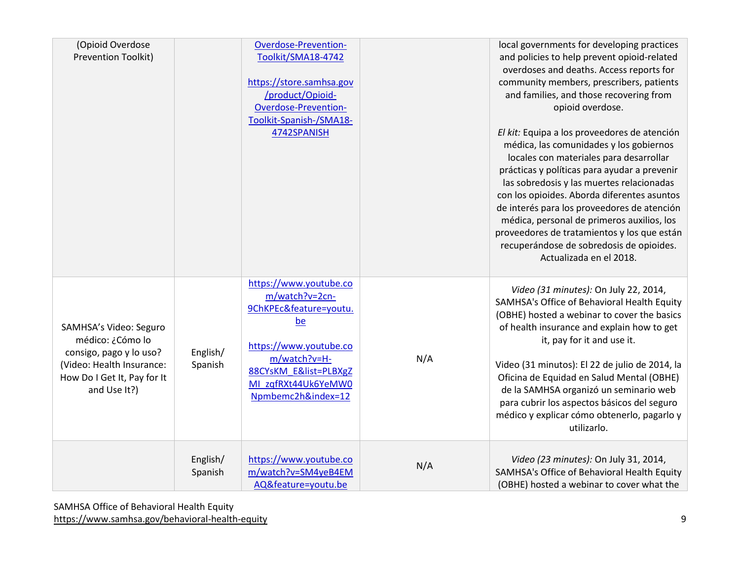| (Opioid Overdose<br>Prevention Toolkit)                                                                                                           |                     | Overdose-Prevention-<br>Toolkit/SMA18-4742<br>https://store.samhsa.gov<br>/product/Opioid-<br>Overdose-Prevention-<br>Toolkit-Spanish-/SMA18-<br>4742SPANISH                             |     | local governments for developing practices<br>and policies to help prevent opioid-related<br>overdoses and deaths. Access reports for<br>community members, prescribers, patients<br>and families, and those recovering from<br>opioid overdose.<br>El kit: Equipa a los proveedores de atención<br>médica, las comunidades y los gobiernos<br>locales con materiales para desarrollar<br>prácticas y políticas para ayudar a prevenir<br>las sobredosis y las muertes relacionadas<br>con los opioides. Aborda diferentes asuntos<br>de interés para los proveedores de atención<br>médica, personal de primeros auxilios, los<br>proveedores de tratamientos y los que están<br>recuperándose de sobredosis de opioides.<br>Actualizada en el 2018. |
|---------------------------------------------------------------------------------------------------------------------------------------------------|---------------------|------------------------------------------------------------------------------------------------------------------------------------------------------------------------------------------|-----|-------------------------------------------------------------------------------------------------------------------------------------------------------------------------------------------------------------------------------------------------------------------------------------------------------------------------------------------------------------------------------------------------------------------------------------------------------------------------------------------------------------------------------------------------------------------------------------------------------------------------------------------------------------------------------------------------------------------------------------------------------|
| SAMHSA's Video: Seguro<br>médico: ¿Cómo lo<br>consigo, pago y lo uso?<br>(Video: Health Insurance:<br>How Do I Get It, Pay for It<br>and Use It?) | English/<br>Spanish | https://www.youtube.co<br>m/watch?v=2cn-<br>9ChKPEc&feature=youtu.<br>be<br>https://www.youtube.co<br>m/watch?v=H-<br>88CYsKM E&list=PLBXgZ<br>MI zqfRXt44Uk6YeMW0<br>Npmbemc2h&index=12 | N/A | Video (31 minutes): On July 22, 2014,<br>SAMHSA's Office of Behavioral Health Equity<br>(OBHE) hosted a webinar to cover the basics<br>of health insurance and explain how to get<br>it, pay for it and use it.<br>Video (31 minutos): El 22 de julio de 2014, la<br>Oficina de Equidad en Salud Mental (OBHE)<br>de la SAMHSA organizó un seminario web<br>para cubrir los aspectos básicos del seguro<br>médico y explicar cómo obtenerlo, pagarlo y<br>utilizarlo.                                                                                                                                                                                                                                                                                 |
|                                                                                                                                                   | English/<br>Spanish | https://www.youtube.co<br>m/watch?v=SM4yeB4EM<br>AQ&feature=youtu.be                                                                                                                     | N/A | Video (23 minutes): On July 31, 2014,<br>SAMHSA's Office of Behavioral Health Equity<br>(OBHE) hosted a webinar to cover what the                                                                                                                                                                                                                                                                                                                                                                                                                                                                                                                                                                                                                     |